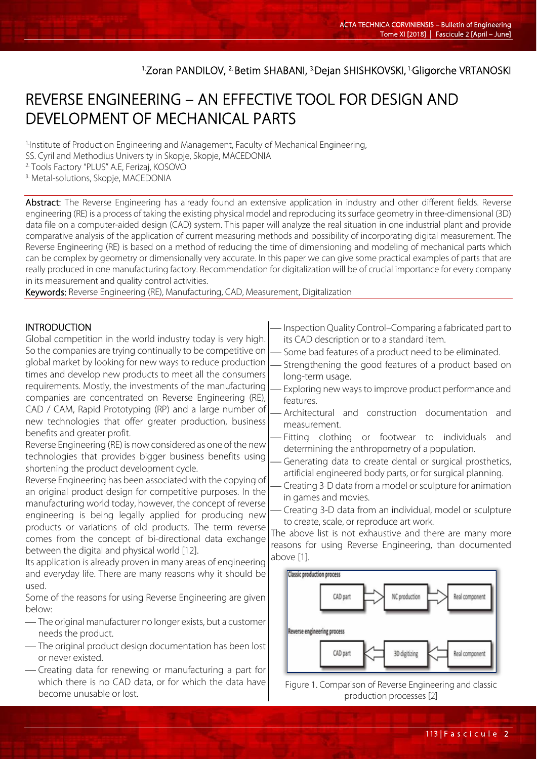## <sup>1.</sup>Zoran PANDILOV, <sup>2.</sup> Betim SHABANI, <sup>3.</sup>Dejan SHISHKOVSKI, <sup>1.</sup>Gligorche VRTANOSKI

# REVERSE ENGINEERING – AN EFFECTIVE TOOL FOR DESIGN AND DEVELOPMENT OF MECHANICAL PARTS

1.Institute of Production Engineering and Management, Faculty of Mechanical Engineering, SS. Cyril and Methodius University in Skopje, Skopje, MACEDONIA 2. Tools Factory "PLUS" A.E, Ferizaj, KOSOVO <sup>3.</sup> Metal-solutions, Skopje, MACEDONIA

Abstract: The Reverse Engineering has already found an extensive application in industry and other different fields. Reverse engineering (RE) is a process of taking the existing physical model and reproducing its surface geometry in three-dimensional (3D) data file on a computer-aided design (CAD) system. This paper will analyze the real situation in one industrial plant and provide comparative analysis of the application of current measuring methods and possibility of incorporating digital measurement. The Reverse Engineering (RE) is based on a method of reducing the time of dimensioning and modeling of mechanical parts which can be complex by geometry or dimensionally very accurate. In this paper we can give some practical examples of parts that are really produced in one manufacturing factory. Recommendation for digitalization will be of crucial importance for every company in its measurement and quality control activities.

Keywords: Reverse Engineering (RE), Manufacturing, CAD, Measurement, Digitalization

#### **INTRODUCTION**

Global competition in the world industry today is very high. So the companies are trying continually to be competitive on global market by looking for new ways to reduce production times and develop new products to meet all the consumers requirements. Mostly, the investments of the manufacturing companies are concentrated on Reverse Engineering (RE), CAD / CAM, Rapid Prototyping (RP) and a large number of new technologies that offer greater production, business benefits and greater profit.

Reverse Engineering (RE) is now considered as one of the new technologies that provides bigger business benefits using shortening the product development cycle.

Reverse Engineering has been associated with the copying of an original product design for competitive purposes. In the manufacturing world today, however, the concept of reverse engineering is being legally applied for producing new products or variations of old products. The term reverse comes from the concept of bi-directional data exchange between the digital and physical world [12].

Its application is already proven in many areas of engineering and everyday life. There are many reasons why it should be used.

Some of the reasons for using Reverse Engineering are given below:

- The original manufacturer no longer exists, but a customer needs the product.
- The original product design documentation has been lost or never existed.
- Creating data for renewing or manufacturing a part for which there is no CAD data, or for which the data have become unusable or lost.
- Inspection Quality Control–Comparing a fabricated part to its CAD description or to a standard item.
- Some bad features of a product need to be eliminated.
- Strengthening the good features of a product based on long-term usage.
- Exploring new ways to improve product performance and features.
- Architectural and construction documentation and measurement.
- Fitting clothing or footwear to individuals and determining the anthropometry of a population.
- Generating data to create dental or surgical prosthetics, artificial engineered body parts, or for surgical planning.
- Creating 3-D data from a model or sculpture for animation in games and movies.
- Creating 3-D data from an individual, model or sculpture to create, scale, or reproduce art work.

The above list is not exhaustive and there are many more reasons for using Reverse Engineering, than documented above [1].



Figure 1. Comparison of Reverse Engineering and classic production processes [2]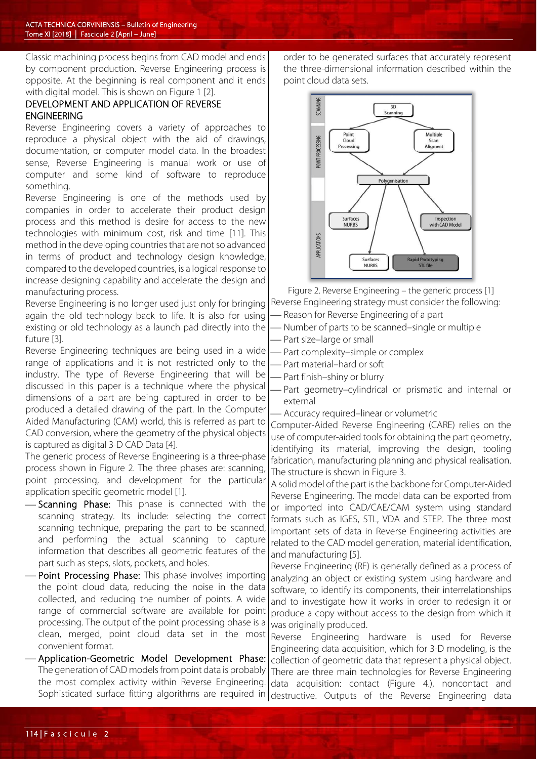Classic machining process begins from CAD model and ends by component production. Reverse Engineering process is opposite. At the beginning is real component and it ends with digital model. This is shown on Figure 1 [2].

## DEVELOPMENT AND APPLICATION OF REVERSE ENGINEERING

Reverse Engineering covers a variety of approaches to reproduce a physical object with the aid of drawings, documentation, or computer model data. In the broadest sense, Reverse Engineering is manual work or use of computer and some kind of software to reproduce something.

Reverse Engineering is one of the methods used by companies in order to accelerate their product design process and this method is desire for access to the new technologies with minimum cost, risk and time [11]. This method in the developing countries that are not so advanced in terms of product and technology design knowledge, compared to the developed countries, is a logical response to increase designing capability and accelerate the design and manufacturing process.

Reverse Engineering is no longer used just only for bringing again the old technology back to life. It is also for using existing or old technology as a launch pad directly into the future [3].

Reverse Engineering techniques are being used in a wide range of applications and it is not restricted only to the industry. The type of Reverse Engineering that will be discussed in this paper is a technique where the physical dimensions of a part are being captured in order to be produced a detailed drawing of the part. In the Computer Aided Manufacturing (CAM) world, this is referred as part to CAD conversion, where the geometry of the physical objects is captured as digital 3-D CAD Data [4].

The generic process of Reverse Engineering is a three-phase process shown in Figure 2. The three phases are: scanning, point processing, and development for the particular application specific geometric model [1].

- Scanning Phase: This phase is connected with the scanning strategy. Its include: selecting the correct scanning technique, preparing the part to be scanned, and performing the actual scanning to capture information that describes all geometric features of the part such as steps, slots, pockets, and holes.
- Point Processing Phase: This phase involves importing the point cloud data, reducing the noise in the data collected, and reducing the number of points. A wide range of commercial software are available for point processing. The output of the point processing phase is a clean, merged, point cloud data set in the most convenient format.
- Application-Geometric Model Development Phase: The generation of CAD models from point data is probably the most complex activity within Reverse Engineering.

order to be generated surfaces that accurately represent the three-dimensional information described within the point cloud data sets.



Figure 2. Reverse Engineering – the generic process [1] Reverse Engineering strategy must consider the following:

- Reason for Reverse Engineering of a part
- Number of parts to be scanned–single or multiple Part size–large or small
- Part complexity–simple or complex
- Part material–hard or soft
- Part finish–shiny or blurry
- Part geometry–cylindrical or prismatic and internal or external
- Accuracy required–linear or volumetric

Computer-Aided Reverse Engineering (CARE) relies on the use of computer-aided tools for obtaining the part geometry, identifying its material, improving the design, tooling fabrication, manufacturing planning and physical realisation. The structure is shown in Figure 3.

A solid model of the part is the backbone for Computer-Aided Reverse Engineering. The model data can be exported from or imported into CAD/CAE/CAM system using standard formats such as IGES, STL, VDA and STEP. The three most important sets of data in Reverse Engineering activities are related to the CAD model generation, material identification, and manufacturing [5].

Reverse Engineering (RE) is generally defined as a process of analyzing an object or existing system using hardware and software, to identify its components, their interrelationships and to investigate how it works in order to redesign it or produce a copy without access to the design from which it was originally produced.

Sophisticated surface fitting algorithms are required in destructive. Outputs of the Reverse Engineering data Reverse Engineering hardware is used for Reverse Engineering data acquisition, which for 3-D modeling, is the collection of geometric data that represent a physical object. There are three main technologies for Reverse Engineering data acquisition: contact (Figure 4.), noncontact and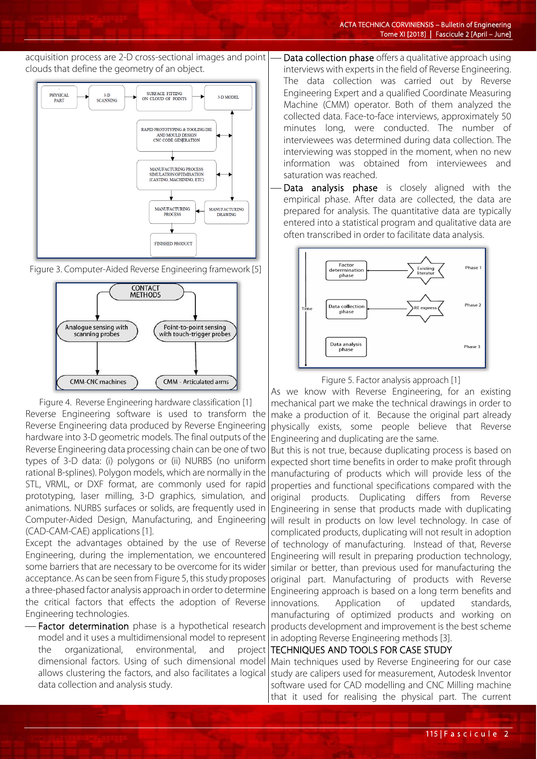#### acquisition process are 2-D cross-sectional images and point clouds that define the geometry of an object.







Figure 4. Reverse Engineering hardware classification [1] Reverse Engineering software is used to transform the Reverse Engineering data produced by Reverse Engineering hardware into 3-D geometric models. The final outputs of the Reverse Engineering data processing chain can be one of two types of 3-D data: (i) polygons or (ii) NURBS (no uniform rational B-splines). Polygon models, which are normally in the STL, VRML, or DXF format, are commonly used for rapid prototyping, laser milling, 3-D graphics, simulation, and animations. NURBS surfaces or solids, are frequently used in Computer-Aided Design, Manufacturing, and Engineering (CAD-CAM-CAE) applications [1].

Except the advantages obtained by the use of Reverse Engineering, during the implementation, we encountered some barriers that are necessary to be overcome for its wider acceptance. As can be seen from Figure 5, this study proposes a three-phased factor analysis approach in order to determine the critical factors that effects the adoption of Reverse Engineering technologies.

- Factor determination phase is a hypothetical research model and it uses a multidimensional model to represent the organizational, environmental, and project dimensional factors. Using of such dimensional model allows clustering the factors, and also facilitates a logical data collection and analysis study.

 Data collection phase offers a qualitative approach using interviews with experts in the field of Reverse Engineering. The data collection was carried out by Reverse Engineering Expert and a qualified Coordinate Measuring Machine (CMM) operator. Both of them analyzed the collected data. Face-to-face interviews, approximately 50 minutes long, were conducted. The number of interviewees was determined during data collection. The interviewing was stopped in the moment, when no new information was obtained from interviewees and saturation was reached.

Data analysis phase is closely aligned with the empirical phase. After data are collected, the data are prepared for analysis. The quantitative data are typically entered into a statistical program and qualitative data are often transcribed in order to facilitate data analysis.



Figure 5. Factor analysis approach [1]

As we know with Reverse Engineering, for an existing mechanical part we make the technical drawings in order to make a production of it. Because the original part already physically exists, some people believe that Reverse Engineering and duplicating are the same.

But this is not true, because duplicating process is based on expected short time benefits in order to make profit through manufacturing of products which will provide less of the properties and functional specifications compared with the original products. Duplicating differs from Reverse Engineering in sense that products made with duplicating will result in products on low level technology. In case of complicated products, duplicating will not result in adoption of technology of manufacturing. Instead of that, Reverse Engineering will result in preparing production technology, similar or better, than previous used for manufacturing the original part. Manufacturing of products with Reverse Engineering approach is based on a long term benefits and innovations. Application of updated standards, manufacturing of optimized products and working on products development and improvement is the best scheme in adopting Reverse Engineering methods [3].

## TECHNIQUES AND TOOLS FOR CASE STUDY

Main techniques used by Reverse Engineering for our case study are calipers used for measurement, Autodesk Inventor software used for CAD modelling and CNC Milling machine that it used for realising the physical part. The current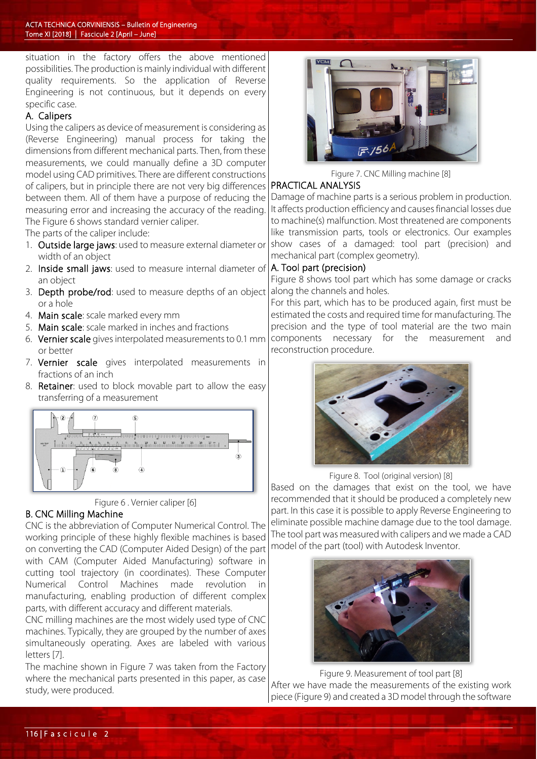situation in the factory offers the above mentioned possibilities. The production is mainly individual with different quality requirements. So the application of Reverse Engineering is not continuous, but it depends on every specific case.

## A. Calipers

Using the calipers as device of measurement is considering as (Reverse Engineering) manual process for taking the dimensions from different mechanical parts. Then, from these measurements, we could manually define a 3D computer model using CAD primitives. There are different constructions of calipers, but in principle there are not very big differences between them. All of them have a purpose of reducing the measuring error and increasing the accuracy of the reading. The Figure 6 shows standard vernier caliper.

The parts of the caliper include:

- 1. Outside large jaws: used to measure external diameter or width of an object
- 2. Inside small jaws: used to measure internal diameter of an object
- 3. Depth probe/rod: used to measure depths of an object or a hole
- 4. Main scale: scale marked every mm
- 5. Main scale: scale marked in inches and fractions
- 6. Vernier scale gives interpolated measurements to 0.1 mm or better
- 7. Vernier scale gives interpolated measurements in fractions of an inch
- 8. Retainer: used to block movable part to allow the easy transferring of a measurement





## B. CNC Milling Machine

CNC is the abbreviation of Computer Numerical Control. The working principle of these highly flexible machines is based on converting the CAD (Computer Aided Design) of the part with CAM (Computer Aided Manufacturing) software in cutting tool trajectory (in coordinates). These Computer Numerical Control Machines made revolution manufacturing, enabling production of different complex parts, with different accuracy and different materials.

CNC milling machines are the most widely used type of CNC machines. Typically, they are grouped by the number of axes simultaneously operating. Axes are labeled with various letters [7].

The machine shown in Figure 7 was taken from the Factory where the mechanical parts presented in this paper, as case study, were produced.



Figure 7. CNC Milling machine [8]

### PRACTICAL ANALYSIS

Damage of machine parts is a serious problem in production. It affects production efficiency and causes financial losses due to machine(s) malfunction. Most threatened are components like transmission parts, tools or electronics. Our examples show cases of a damaged: tool part (precision) and mechanical part (complex geometry).

### A. Tool part (precision)

Figure 8 shows tool part which has some damage or cracks along the channels and holes.

For this part, which has to be produced again, first must be estimated the costs and required time for manufacturing. The precision and the type of tool material are the two main components necessary for the measurement and reconstruction procedure.



Figure 8. Tool (original version) [8]

Based on the damages that exist on the tool, we have recommended that it should be produced a completely new part. In this case it is possible to apply Reverse Engineering to eliminate possible machine damage due to the tool damage. The tool part was measured with calipers and we made a CAD model of the part (tool) with Autodesk Inventor.



Figure 9. Measurement of tool part [8] After we have made the measurements of the existing work piece (Figure 9) and created a 3D model through the software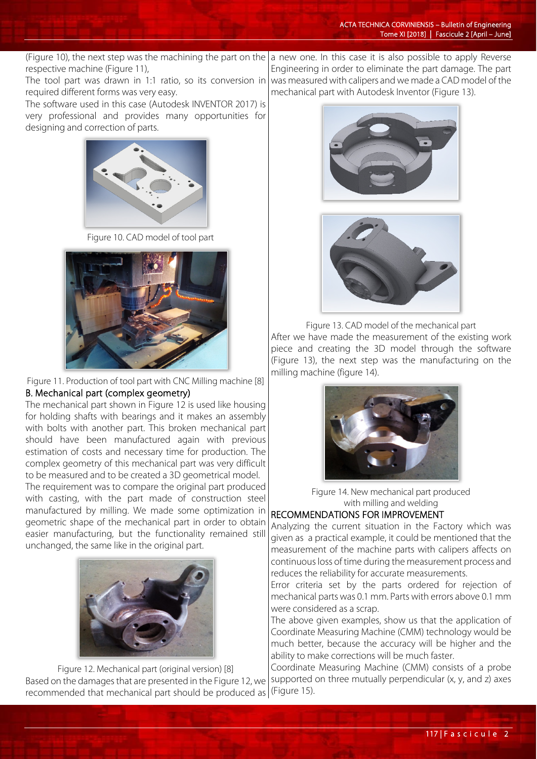(Figure 10), the next step was the machining the part on the |a new one. In this case it is also possible to apply Reverse respective machine (Figure 11),

The tool part was drawn in 1:1 ratio, so its conversion in required different forms was very easy.

The software used in this case (Autodesk INVENTOR 2017) is very professional and provides many opportunities for designing and correction of parts.



Figure 10. CAD model of tool part



Figure 11. Production of tool part with CNC Milling machine [8] B. Mechanical part (complex geometry)

The mechanical part shown in Figure 12 is used like housing for holding shafts with bearings and it makes an assembly with bolts with another part. This broken mechanical part should have been manufactured again with previous estimation of costs and necessary time for production. The complex geometry of this mechanical part was very difficult to be measured and to be created a 3D geometrical model.

The requirement was to compare the original part produced with casting, with the part made of construction steel manufactured by milling. We made some optimization in geometric shape of the mechanical part in order to obtain easier manufacturing, but the functionality remained still unchanged, the same like in the original part.



Figure 12. Mechanical part (original version) [8] Based on the damages that are presented in the Figure 12, we recommended that mechanical part should be produced as (Figure 15).

Engineering in order to eliminate the part damage. The part was measured with calipers and we made a CAD model of the mechanical part with Autodesk Inventor (Figure 13).





Figure 13. CAD model of the mechanical part After we have made the measurement of the existing work piece and creating the 3D model through the software (Figure 13), the next step was the manufacturing on the milling machine (figure 14).



Figure 14. New mechanical part produced with milling and welding

# RECOMMENDATIONS FOR IMPROVEMENT

Analyzing the current situation in the Factory which was given as a practical example, it could be mentioned that the measurement of the machine parts with calipers affects on continuous loss of time during the measurement process and reduces the reliability for accurate measurements.

Error criteria set by the parts ordered for rejection of mechanical parts was 0.1 mm. Parts with errors above 0.1 mm were considered as a scrap.

The above given examples, show us that the application of Coordinate Measuring Machine (CMM) technology would be much better, because the accuracy will be higher and the ability to make corrections will be much faster.

Coordinate Measuring Machine (CMM) consists of a probe supported on three mutually perpendicular (x, y, and z) axes